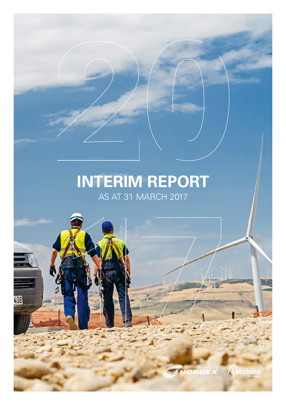## **INTERIM REPORT** AS AT 31 MARCH 2017

408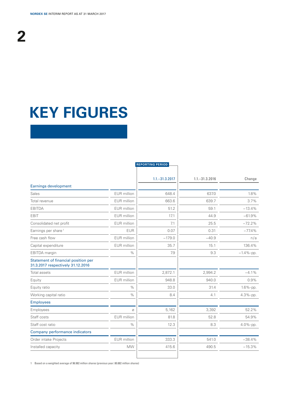# **KEY FIGURES**

| EUR million   | $1.1 - 31.3.2017$<br>648.4                                                                                                                               | $1.1 - 31.3.2016$           | Change        |
|---------------|----------------------------------------------------------------------------------------------------------------------------------------------------------|-----------------------------|---------------|
|               |                                                                                                                                                          |                             |               |
|               |                                                                                                                                                          |                             |               |
|               |                                                                                                                                                          |                             | 1.8%          |
|               |                                                                                                                                                          | 639.7                       | 3.7%          |
|               | 51.2                                                                                                                                                     | 59.1                        | $-13.4%$      |
|               | 17.1                                                                                                                                                     | 44.9                        | $-61.9%$      |
|               | 7.1                                                                                                                                                      | 25.5                        | $-72.2%$      |
| <b>EUR</b>    | 0.07                                                                                                                                                     | 0.31                        | $-77.4%$      |
|               | $-179.0$                                                                                                                                                 | $-40.9$                     | n/a           |
|               | 35.7                                                                                                                                                     | 15.1                        | 136.4%        |
| $\%$          | 7.9                                                                                                                                                      | 9.3                         | $-1.4\%$ -pp. |
|               |                                                                                                                                                          |                             |               |
|               | 2,872.1                                                                                                                                                  | 2,994.2                     | $-4.1\%$      |
|               | 948.8                                                                                                                                                    | 940.0                       | 0.9%          |
| $\%$          | 33.0                                                                                                                                                     | 31.4                        | $1.6\%$ -pp.  |
| $\%$          | 8.4                                                                                                                                                      | 4.1                         | $4.3%$ -pp.   |
|               |                                                                                                                                                          |                             |               |
| $\varnothing$ | 5,162                                                                                                                                                    | 3,392                       | 52.2%         |
|               | 81.8                                                                                                                                                     | 52.8                        | 54.9%         |
| $\%$          | 12.3                                                                                                                                                     | 8.3                         | $4.0\%$ -pp.  |
|               |                                                                                                                                                          |                             |               |
|               | 333.3                                                                                                                                                    | 541.0                       | $-38.4%$      |
| <b>MW</b>     | 415.6                                                                                                                                                    | 490.5                       | $-15.3%$      |
|               | EUR million<br>EUR million<br>EUR million<br><b>EUR</b> million<br>EUR million<br>EUR million<br><b>EUR</b> million<br><b>EUR</b> million<br>EUR million | <b>EUR</b> million<br>663.6 | 637.0         |

1 Based on a weighted average of 96.982 million shares (previous year: 80.882 million shares)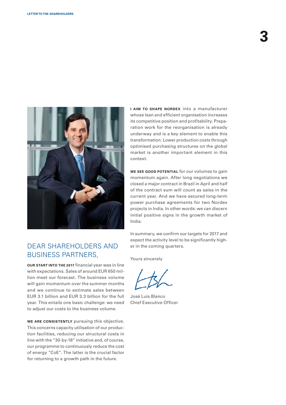

## DEAR SHAREHOLDERS AND BUSINESS PARTNERS,

**OUR START INTO THE 2017** financial year was in line with expectations. Sales of around EUR 650 million meet our forecast. The business volume will gain momentum over the summer months and we continue to estimate sales between EUR 3.1 billion and EUR 3.3 billion for the full year. This entails one basic challenge: we need to adjust our costs to the business volume.

**WE ARE CONSISTENTLY** pursuing this objective. This concerns capacity utilisation of our production facilities, reducing our structural costs in line with the "30-by-18" initiative and, of course, our programme to continuously reduce the cost of energy "CoE". The latter is the crucial factor for returning to a growth path in the future.

**I AIM TO SHAPE NORDEX** into a manufacturer whose lean and efficient organisation increases its competitive position and profitability. Preparation work for the reorganisation is already underway and is a key element to enable this transformation. Lower production costs through optimised purchasing structures on the global market is another important element in this context.

**WE SEE GOOD POTENTIAL** for our volumes to gain momentum again. After long negotiations we closed a major contract in Brazil in April and half of the contract sum will count as sales in the current year. And we have secured long-term power purchase agreements for two Nordex projects in India. In other words: we can discern initial positive signs in the growth market of India.

In summary, we confirm our targets for 2017 and expect the activity level to be significantly higher in the coming quarters.

Yours sincerely

José Luis Blanco Chief Executive Officer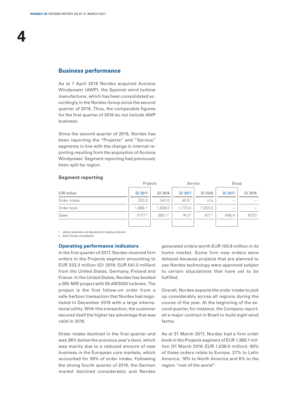**4**

### **Business performance**

As at 1 April 2016 Nordex acquired Acciona Windpower (AWP), the Spanish wind turbine manufacturer, which has been consolidated accordingly in the Nordex Group since the second quarter of 2016. Thus, the comparable figures for the first quarter of 2016 do not include AWP business.

Since the second quarter of 2016, Nordex has been reporting the "Projects" and "Service" segments in line with the change in internal reporting resulting from the acquisition of Acciona Windpower. Segment reporting had previously been split by region.

|                    | Projects           |         | Service           |                   | Group   |         |
|--------------------|--------------------|---------|-------------------|-------------------|---------|---------|
| <b>EUR</b> million | Q1 2017            | 01 2016 | Q1 2017           | Q1 2016           | Q1 2017 | 01 2016 |
| Order intake       | 333.3              | 541.0   | 40.5 <sup>1</sup> | n/a               |         |         |
| Order book         | 1,988.1            | 1,638.0 | 1,773.0           | 1,053.0           |         |         |
| Sales              | 577.7 <sup>2</sup> | 593.12  | 74.0 <sup>2</sup> | 47.1 <sup>2</sup> | 648.4   | 637.0   |
|                    |                    |         |                   |                   |         |         |

### **Segment reporting**

1 without extension and adjustment of existing contracts

2 before Group consolidation

### **Operating performance indicators**

In the first quarter of 2017, Nordex received firm orders in the Projects segment amounting to EUR 333.3 million (Q1 2016: EUR 541.0 million) from the United States, Germany, Finland and France. In the United States, Nordex has booked a 285-MW project with 95 AW3000 turbines. The project is the first follow-on order from a safe-harbour transaction that Nordex had negotiated in December 2016 with a large international utility. With this transaction, the customer secured itself the higher tax advantage that was valid in 2016.

Order intake declined in the first quarter and was 38% below the previous year's level, which was mainly due to a reduced amount of new business in the European core markets, which accounted for 39% of order intake. Following the strong fourth quarter of 2016, the German market declined considerably and Nordex

generated orders worth EUR 100.8 million in its home market. Some firm new orders were delayed because projects that are planned to use Nordex technology were approved subject to certain stipulations that have yet to be fulfilled.

Overall, Nordex expects the order intake to pick up considerably across all regions during the course of the year. At the beginning of the second quarter, for instance, the Company reported a major contract in Brazil to build eight wind farms.

As at 31 March 2017, Nordex had a firm order book in the Projects segment of EUR 1,988.1 million (31 March 2016: EUR 1,638.0 million). 49% of these orders relate to Europe, 27% to Latin America, 18% to North America and 6% to the region "rest of the world".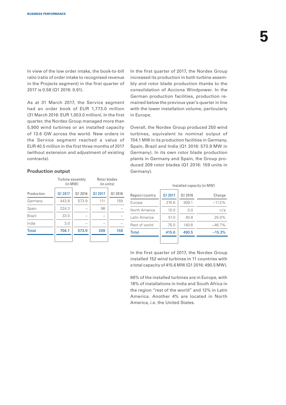In view of the low order intake, the book-to-bill ratio (ratio of order intake to recognised revenue in the Projects segment) in the first quarter of 2017 is 0.58 (Q1 2016: 0.91).

As at 31 March 2017, the Service segment had an order book of EUR 1,773.0 million (31 March 2016: EUR 1,053.0 million). In the first quarter, the Nordex Group managed more than 5,900 wind turbines or an installed capacity of 13.6 GW across the world. New orders in the Service segment reached a value of EUR 40.5 million in the first three months of 2017 (without extension and adjustment of existing contracts).

### **Production output**

|               | Turbine assembly<br>(in MW) |         | Rotor blades<br>(in units) |         |
|---------------|-----------------------------|---------|----------------------------|---------|
| Production    | 01 2017                     | 01 2016 | 01 2017                    | Q1 2016 |
| Germany       | 443.8                       | 573.9   | 111                        | 159     |
| Spain         | 224.3                       |         | 98                         |         |
| <b>Brazil</b> | 33.0                        |         |                            |         |
| India         | 3.0                         |         |                            |         |
| <b>Total</b>  | 704.1                       | 573.9   | 209                        | 159     |
|               |                             |         |                            |         |

In the first quarter of 2017, the Nordex Group increased its production in both turbine assembly and rotor blade production thanks to the consolidation of Acciona Windpower. In the German production facilities, production remained below the previous year's quarter in line with the lower installation volume, particularly in Europe.

Overall, the Nordex Group produced 250 wind turbines, equivalent to nominal output of 704.1 MW in its production facilities in Germany, Spain, Brazil and India (Q1 2016: 573.9 MW in Germany). In its own rotor blade production plants in Germany and Spain, the Group produced 209 rotor blades (Q1 2016: 159 units in Germany).

#### Installed capacity (in MW)

| Region/country | 01 2017 | 01 2016 | Change   |
|----------------|---------|---------|----------|
| Europe         | 274.6   | 309.1   | $-11.2%$ |
| North America  | 15.0    | 0.0     | n/a      |
| Latin America  | 51.0    | 40.8    | 25.0%    |
| Rest of world  | 75.0    | 140.6   | $-46.7%$ |
| <b>Total</b>   | 415.6   | 490.5   | $-15.3%$ |
|                |         |         |          |

In the first quarter of 2017, the Nordex Group installed 152 wind turbines in 11 countries with a total capacity of 415.6 MW (Q1 2016: 490.5 MW).

66% of the installed turbines are in Europe, with 18% of installations in India and South Africa in the region "rest of the world" and 12% in Latin America. Another 4% are located in North America, i.e. the United States.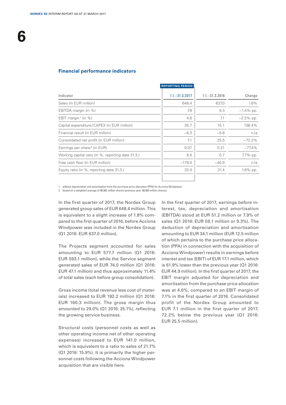**6**

### **Financial performance indicators**

|                                                    | <b>REPORTING PERIOD</b> |                   |               |
|----------------------------------------------------|-------------------------|-------------------|---------------|
| Indicator                                          | $1.1 - 31.3.2017$       | $1.1 - 31.3.2016$ | Change        |
| Sales (in EUR million)                             | 648.4                   | 637.0             | 1.8%          |
| EBITDA margin (in %)                               | 7.9                     | 9.3               | $-1.4\%$ -pp. |
| EBIT margin <sup>1</sup> (in %)                    | 4.6                     | 7.1               | $-2.5%$ -pp.  |
| Capital expenditure/CAPEX (in EUR million)         | 35.7                    | 15.1              | 136.4%        |
| Financial result (in EUR million)                  | $-6.3$                  | $-5.8$            | n/a           |
| Consolidated net profit (in EUR million)           | 7.1                     | 25.5              | $-72.2%$      |
| Earnings per share <sup>2</sup> (in EUR)           | 0.07                    | 0.31              | $-77.4%$      |
| Working capital ratio (in %, reporting date 31.3.) | 8.4                     | 0.7               | $7.7\%$ -pp.  |
| Free cash flow (in EUR million)                    | $-179.0$                | $-40.9$           | n/a           |
| Equity ratio (in %, reporting date 31.3.)          | 33.0                    | 31.4              | $1.6\%$ -pp.  |
|                                                    |                         |                   |               |

without depreciation and amortisation from the purchase price allocation (PPA) for Acciona Windpower

2 based on a weighted average of 96.982 million shares (previous year: 80.882 million shares)

In the first quarter of 2017, the Nordex Group generated group sales of EUR 648.4 million. This is equivalent to a slight increase of 1.8% compared to the first quarter of 2016, before Acciona Windpower was included in the Nordex Group (Q1 2016: EUR 637.0 million).

The Projects segment accounted for sales amounting to EUR 577.7 million (Q1 2016: EUR 593.1 million), while the Service segment generated sales of EUR 74.0 million (Q1 2016: EUR 47.1 million) and thus approximately 11.4% of total sales (each before group consolidation).

Gross income (total revenue less cost of materials) increased to EUR 192.2 million (Q1 2016: EUR 160.3 million). The gross margin thus amounted to 29.0% (Q1 2016: 25.1%), reflecting the growing service business.

Structural costs (personnel costs as well as other operating income net of other operating expenses) increased to EUR 141.0 million, which is equivalent to a ratio to sales of 21.7% (Q1 2016: 15.9%). It is primarily the higher personnel costs following the Acciona Windpower acquisition that are visible here.

In the first quarter of 2017, earnings before interest, tax, depreciation and amortisation (EBITDA) stood at EUR 51.2 million or 7.9% of sales (Q1 2016: EUR 59.1 million or 9.3%). The deduction of depreciation and amortisation amounting to EUR 34.1 million (EUR 12.5 million of which pertains to the purchase price allocation (PPA) in connection with the acquisition of Acciona Windpower) results in earnings before interest and tax (EBIT) of EUR 17.1 million, which is 61.9% lower than the previous year (Q1 2016: EUR 44.9 million). In the first quarter of 2017, the EBIT margin adjusted for depreciation and amortisation from the purchase price allocation was at 4.6%, compared to an EBIT margin of 7.1% in the first quarter of 2016. Consolidated profit of the Nordex Group amounted to EUR 7.1 million in the first quarter of 2017, 72.2% below the previous year (Q1 2016: EUR 25.5 million).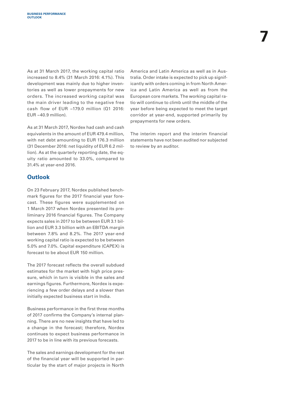As at 31 March 2017, the working capital ratio increased to 8.4% (31 March 2016: 4.1%). This development was mainly due to higher inventories as well as lower prepayments for new orders. The increased working capital was the main driver leading to the negative free cash flow of EUR −179.0 million (Q1 2016: EUR −40.9 million).

As at 31 March 2017, Nordex had cash and cash equivalents in the amount of EUR 479.4 million, with net debt amounting to EUR 176.3 million (31 December 2016: net liquidity of EUR 6.2 million). As at the quarterly reporting date, the equity ratio amounted to 33.0%, compared to 31.4% at year-end 2016.

### **Outlook**

On 23 February 2017, Nordex published benchmark figures for the 2017 financial year forecast. These figures were supplemented on 1 March 2017 when Nordex presented its preliminary 2016 financial figures. The Company expects sales in 2017 to be between EUR 3.1 billion and EUR 3.3 billion with an EBITDA margin between 7.8% and 8.2%. The 2017 year-end working capital ratio is expected to be between 5.0% and 7.0%. Capital expenditure (CAPEX) is forecast to be about EUR 150 million.

The 2017 forecast reflects the overall subdued estimates for the market with high price pressure, which in turn is visible in the sales and earnings figures. Furthermore, Nordex is experiencing a few order delays and a slower than initially expected business start in India.

Business performance in the first three months of 2017 confirms the Company's internal planning. There are no new insights that have led to a change in the forecast; therefore, Nordex continues to expect business performance in 2017 to be in line with its previous forecasts.

The sales and earnings development for the rest of the financial year will be supported in particular by the start of major projects in North

America and Latin America as well as in Australia. Order intake is expected to pick up significantly with orders coming in from North America and Latin America as well as from the European core markets. The working capital ratio will continue to climb until the middle of the year before being expected to meet the target corridor at year-end, supported primarily by prepayments for new orders.

The interim report and the interim financial statements have not been audited nor subjected to review by an auditor.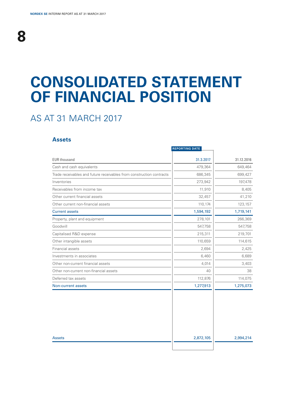## **CONSOLIDATED STATEMENT OF FINANCIAL POSITION**

## AS AT 31 MARCH 2017

### **Assets**

|                                                                      | <b>REPORTING DATE</b> |            |
|----------------------------------------------------------------------|-----------------------|------------|
| <b>EUR thousand</b>                                                  | 31.3.2017             | 31.12.2016 |
| Cash and cash equivalents                                            | 479,364               | 649,464    |
| Trade receivables and future receivables from construction contracts | 686,345               | 699,427    |
| Inventories                                                          | 273,942               | 197,478    |
| Receivables from income tax                                          | 11,910                | 8,405      |
| Other current financial assets                                       | 32,457                | 41,210     |
| Other current non-financial assets                                   | 110,174               | 123,157    |
| <b>Current assets</b>                                                | 1,594,192             | 1,719,141  |
| Property, plant and equipment                                        | 278,101               | 266,369    |
| Goodwill                                                             | 547,758               | 547,758    |
| Capitalised R&D expense                                              | 215,311               | 219,701    |
| Other intangible assets                                              | 110,659               | 114,615    |
| Financial assets                                                     | 2,694                 | 2,425      |
| Investments in associates                                            | 6,460                 | 6,689      |
| Other non-current financial assets                                   | 4,014                 | 3,403      |
| Other non-current non-financial assets                               | 40                    | 38         |
| Deferred tax assets                                                  | 112,876               | 114,075    |
| Non-current assets                                                   | 1,277,913             | 1,275,073  |
|                                                                      |                       |            |
| <b>Assets</b>                                                        | 2,872,105             | 2,994,214  |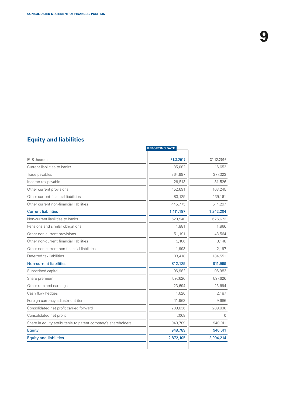### **Equity and liabilities**

|                                                               | <b>REPORTING DATE</b> |            |
|---------------------------------------------------------------|-----------------------|------------|
| <b>EUR thousand</b>                                           | 31.3.2017             | 31.12.2016 |
| Current liabilities to banks                                  | 35,082                | 16,652     |
| Trade payables                                                | 364,997               | 377,323    |
| Income tax payable                                            | 29,513                | 31,526     |
| Other current provisions                                      | 152,691               | 163,245    |
| Other current financial liabilities                           | 83,129                | 139,161    |
| Other current non-financial liabilities                       | 445,775               | 514,297    |
| <b>Current liabilities</b>                                    | 1,111,187             | 1,242,204  |
| Non-current liabilities to banks                              | 620,540               | 626,673    |
| Pensions and similar obligations                              | 1,881                 | 1,866      |
| Other non-current provisions                                  | 51,191                | 43,564     |
| Other non-current financial liabilities                       | 3,106                 | 3,148      |
| Other non-current non-financial liabilities                   | 1,993                 | 2,197      |
| Deferred tax liabilities                                      | 133,418               | 134,551    |
| <b>Non-current liabilities</b>                                | 812,129               | 811,999    |
| Subscribed capital                                            | 96,982                | 96,982     |
| Share premium                                                 | 597,626               | 597,626    |
| Other retained earnings                                       | 23,694                | 23,694     |
| Cash flow hedges                                              | 1,620                 | 2,187      |
| Foreign currency adjustment item                              | 11,963                | 9,686      |
| Consolidated net profit carried forward                       | 209,836               | 209,836    |
| Consolidated net profit                                       | 7,068                 | $\Omega$   |
| Share in equity attributable to parent company's shareholders | 948,789               | 940,011    |
| Equity                                                        | 948,789               | 940,011    |
| <b>Equity and liabilities</b>                                 | 2,872,105             | 2,994,214  |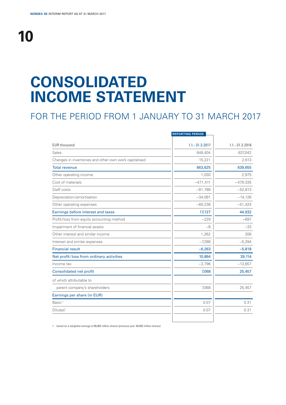# **10**

# **CONSOLIDATED INCOME STATEMENT**

## FOR THE PERIOD FROM 1 JANUARY TO 31 MARCH 2017

|                                                       | <b>REPORTING PERIOD</b> |                   |
|-------------------------------------------------------|-------------------------|-------------------|
| <b>EUR thousand</b>                                   | $1.1 - 31.3.2017$       | $1.1 - 31.3.2016$ |
| Sales                                                 | 648,404                 | 637,042           |
| Changes in inventories and other own work capitalised | 15,221                  | 2,613             |
| <b>Total revenue</b>                                  | 663,625                 | 639,655           |
| Other operating income                                | 1,030                   | 2,975             |
| Cost of materials                                     | $-471,411$              | $-479,335$        |
| Staff costs                                           | $-81,788$               | $-52,813$         |
| Depreciation/amortisation                             | $-34,091$               | $-14,126$         |
| Other operating expenses                              | $-60,238$               | $-51,424$         |
| Earnings before interest and taxes                    | 17,127                  | 44,932            |
| Profit/loss from equity accounting method             | $-229$                  | $-697$            |
| Impairment of financial assets                        | -8                      | $-33$             |
| Other interest and similar income                     | 1,262                   | 206               |
| Interest and similar expenses                         | $-7,288$                | $-5,294$          |
| <b>Financial result</b>                               | $-6,263$                | $-5,818$          |
| Net profit/loss from ordinary activities              | 10,864                  | 39,114            |
| Income tax                                            | $-3,796$                | $-13,657$         |
| <b>Consolidated net profit</b>                        | 7,068                   | 25,457            |
| of which attributable to                              |                         |                   |
| parent company's shareholders                         | 7,068                   | 25,457            |
| Earnings per share (in EUR)                           |                         |                   |
| Basic <sup>1</sup>                                    | 0.07                    | 0.31              |
| Diluted <sup>1</sup>                                  | 0.07                    | 0.31              |
|                                                       |                         |                   |

1 based on a weighted average of 96,982 million shares (previous year: 80.882 million shares)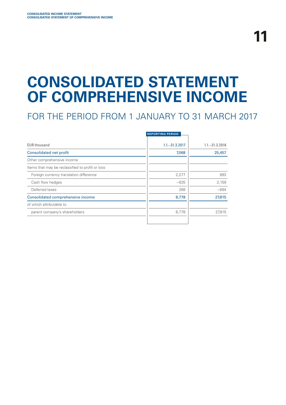# **CONSOLIDATED STATEMENT OF COMPREHENSIVE INCOME**

## FOR THE PERIOD FROM 1 JANUARY TO 31 MARCH 2017

|                                                  | <b>REPORTING PERIOD</b> |                   |
|--------------------------------------------------|-------------------------|-------------------|
| <b>EUR thousand</b>                              | $1.1 - 31.3.2017$       | $1.1 - 31.3.2016$ |
| Consolidated net profit                          | 7,068                   | 25,457            |
| Other comprehensive income                       |                         |                   |
| Items that may be reclassified to profit or loss |                         |                   |
| Foreign currency translation difference          | 2,277                   | 893               |
| Cash flow hedges                                 | $-835$                  | 2,159             |
| Deferred taxes                                   | 268                     | $-694$            |
| Consolidated comprehensive income                | 8,778                   | 27,815            |
| of which attributable to                         |                         |                   |
| parent company's shareholders                    | 8,778                   | 27,815            |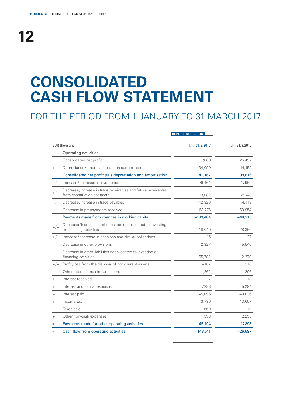# **CONSOLIDATED CASH FLOW STATEMENT**

## FOR THE PERIOD FROM 1 JANUARY TO 31 MARCH 2017

|           |                                                                                              | <b>REPORTING PERIOD</b> |                   |
|-----------|----------------------------------------------------------------------------------------------|-------------------------|-------------------|
|           | <b>EUR thousand</b>                                                                          | $1.1 - 31.3.2017$       | $1.1 - 31.3.2016$ |
|           | Operating activities                                                                         |                         |                   |
|           | Consolidated net profit                                                                      | 7.068                   | 25,457            |
| $^{+}$    | Depreciation/amortisation of non-current assets                                              | 34,099                  | 14,159            |
| Ξ         | Consolidated net profit plus depreciation and amortisation                                   | 41,167                  | 39,616            |
| $-1$      | Increase/decrease in inventories                                                             | $-76,464$               | 17,969            |
| $+/-$     | Decrease/increase in trade receivables and future receivables<br>from construction contracts | 13,082                  | $-76,743$         |
|           | $-/-$ Decrease/increase in trade payables                                                    | $-12,326$               | 74,413            |
|           | Decrease in prepayments received                                                             | $-63,776$               | $-63,954$         |
| $=$       | Payments made from changes in working capital                                                | $-139,484$              | $-48,315$         |
| $+/-$     | Decrease/increase in other assets not allocated to investing<br>or financing activities      | 18.040                  | $-28,360$         |
| $+/-$     | Increase/decrease in pensions and similar obligations                                        | 15                      | $-27$             |
|           | Decrease in other provisions                                                                 | $-2,927$                | $-5,546$          |
|           | Decrease in other liabilities not allocated to investing or<br>financing activities          | $-65,782$               | $-2,279$          |
| $-1$      | Profit/loss from the disposal of non-current assets                                          | $-107$                  | 316               |
|           | Other interest and similar income                                                            | $-1,262$                | $-206$            |
| $\ddot{}$ | Interest received                                                                            | 117                     | 113               |
| $^{+}$    | Interest and similar expenses                                                                | 7.288                   | 5,294             |
|           | Interest paid                                                                                | $-5,096$                | $-3,036$          |
| $^{+}$    | Income tax                                                                                   | 3.796                   | 13,657            |
|           | Taxes paid                                                                                   | $-669$                  | $-79$             |
| $^+$      | Other non-cash expenses                                                                      | 1,393                   | 2,255             |
|           | Payments made for other operating activities                                                 | $-45,194$               | $-17,898$         |
|           | Cash flow from operating activities                                                          | $-143,511$              | $-26,597$         |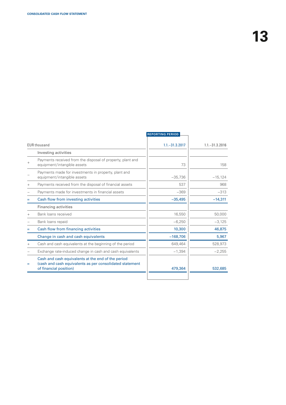|        |                                                                                                                                          | <b>REPORTING PERIOD</b> |                   |
|--------|------------------------------------------------------------------------------------------------------------------------------------------|-------------------------|-------------------|
|        | <b>EUR thousand</b>                                                                                                                      | $1.1 - 31.3.2017$       | $1.1 - 31.3.2016$ |
|        | Investing activities                                                                                                                     |                         |                   |
| $^{+}$ | Payments received from the disposal of property, plant and<br>equipment/intangible assets                                                | 73                      | 158               |
|        | Payments made for investments in property, plant and<br>equipment/intangible assets                                                      | $-35,736$               | $-15,124$         |
| $^{+}$ | Payments received from the disposal of financial assets                                                                                  | 537                     | 968               |
|        | Payments made for investments in financial assets                                                                                        | $-369$                  | $-313$            |
| Ξ      | Cash flow from investing activities                                                                                                      | $-35,495$               | $-14,311$         |
|        | <b>Financing activities</b>                                                                                                              |                         |                   |
| $^{+}$ | Bank loans received                                                                                                                      | 16,550                  | 50,000            |
|        | Bank loans repaid                                                                                                                        | $-6,250$                | $-3,125$          |
|        | Cash flow from financing activities                                                                                                      | 10,300                  | 46,875            |
|        | Change in cash and cash equivalents                                                                                                      | $-168,706$              | 5,967             |
| $^{+}$ | Cash and cash equivalents at the beginning of the period                                                                                 | 649.464                 | 528,973           |
|        | Exchange rate-induced change in cash and cash equivalents                                                                                | $-1,394$                | $-2,255$          |
| Ξ      | Cash and cash equivalents at the end of the period<br>(cash and cash equivalents as per consolidated statement<br>of financial position) | 479,364                 | 532,685           |
|        |                                                                                                                                          |                         |                   |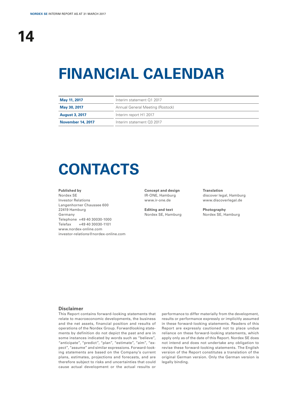# **FINANCIAL CALENDAR**

| May 11, 2017             | Interim statement Q1 2017        |  |
|--------------------------|----------------------------------|--|
| May 30, 2017             | Annual General Meeting (Rostock) |  |
| <b>August 3, 2017</b>    | Interim report H1 2017           |  |
| <b>November 14, 2017</b> | Interim statement 03 2017        |  |

# **CONTACTS**

### **Published by**

Nordex SE Investor Relations Langenhorner Chaussee 600 22419 Hamburg Germany Telephone +49 40 30030-1000 Telefax +49 40 30030-1101 www.nordex-online.com investor-relations@nordex-online.com

**Concept and design** IR-ONE, Hamburg www.ir-one.de

**Editing and text** Nordex SE, Hamburg **Translation** discover legal, Hamburg www.discoverlegal.de

**Photography** Nordex SE, Hamburg

#### **Disclaimer**

This Report contains forward-looking statements that relate to macroeconomic developments, the business and the net assets, financial position and results of operations of the Nordex Group. Forwardlooking statements by definition do not depict the past and are in some instances indicated by words such as "believe", "anticipate", "predict", "plan", "estimate", "aim", "expect", "assume" and similar expressions. Forward-looking statements are based on the Company's current plans, estimates, projections and forecasts, and are therefore subject to risks and uncertainties that could cause actual development or the actual results or

performance to differ materially from the development, results or performance expressly or implicitly assumed in these forward-looking statements. Readers of this Report are expressly cautioned not to place undue reliance on these forward-looking statements, which apply only as of the date of this Report. Nordex SE does not intend and does not undertake any obligation to revise these forward-looking statements. The English version of the Report constitutes a translation of the original German version. Only the German version is legally binding.